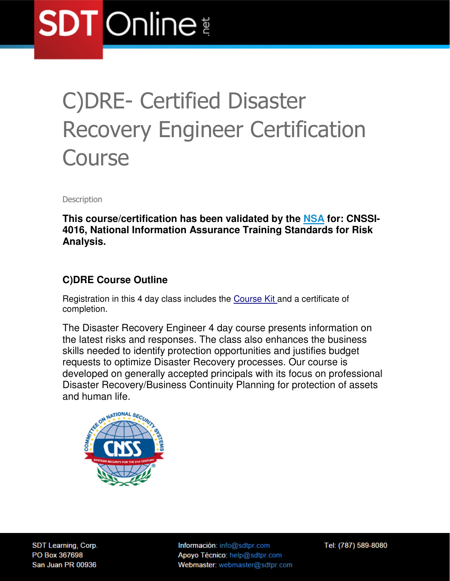# **SDT** Online

### C)DRE- Certified Disaster Recovery Engineer Certification **Course**

**Description** 

**This course/certification has been validated by the NSA for: CNSSI-4016, National Information Assurance Training Standards for Risk Analysis.** 

#### **C)DRE Course Outline**

Registration in this 4 day class includes the Course Kit and a certificate of completion.

The Disaster Recovery Engineer 4 day course presents information on the latest risks and responses. The class also enhances the business skills needed to identify protection opportunities and justifies budget requests to optimize Disaster Recovery processes. Our course is developed on generally accepted principals with its focus on professional Disaster Recovery/Business Continuity Planning for protection of assets and human life.



SDT Learning, Corp. PO Box 367698 San Juan PR 00936

Información: info@sdtpr.com Apoyo Técnico: help@sdtpr.com Webmaster: webmaster@sdtpr.com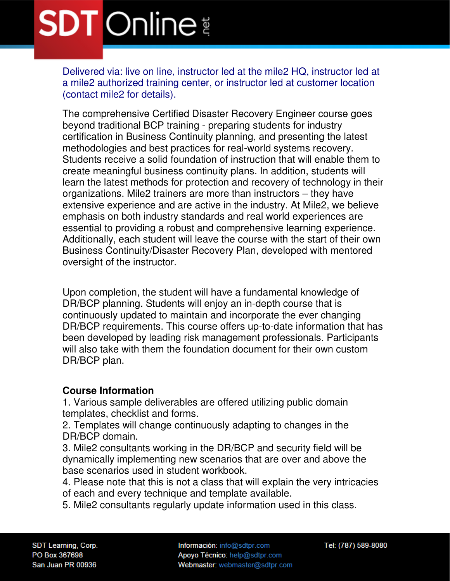### **SDT** Online

Delivered via: live on line, instructor led at the mile2 HQ, instructor led at a mile2 authorized training center, or instructor led at customer location (contact mile2 for details).

The comprehensive Certified Disaster Recovery Engineer course goes beyond traditional BCP training - preparing students for industry certification in Business Continuity planning, and presenting the latest methodologies and best practices for real-world systems recovery. Students receive a solid foundation of instruction that will enable them to create meaningful business continuity plans. In addition, students will learn the latest methods for protection and recovery of technology in their organizations. Mile2 trainers are more than instructors – they have extensive experience and are active in the industry. At Mile2, we believe emphasis on both industry standards and real world experiences are essential to providing a robust and comprehensive learning experience. Additionally, each student will leave the course with the start of their own Business Continuity/Disaster Recovery Plan, developed with mentored oversight of the instructor.

Upon completion, the student will have a fundamental knowledge of DR/BCP planning. Students will enjoy an in-depth course that is continuously updated to maintain and incorporate the ever changing DR/BCP requirements. This course offers up-to-date information that has been developed by leading risk management professionals. Participants will also take with them the foundation document for their own custom DR/BCP plan.

#### **Course Information**

1. Various sample deliverables are offered utilizing public domain templates, checklist and forms.

2. Templates will change continuously adapting to changes in the DR/BCP domain.

3. Mile2 consultants working in the DR/BCP and security field will be dynamically implementing new scenarios that are over and above the base scenarios used in student workbook.

4. Please note that this is not a class that will explain the very intricacies of each and every technique and template available.

5. Mile2 consultants regularly update information used in this class.